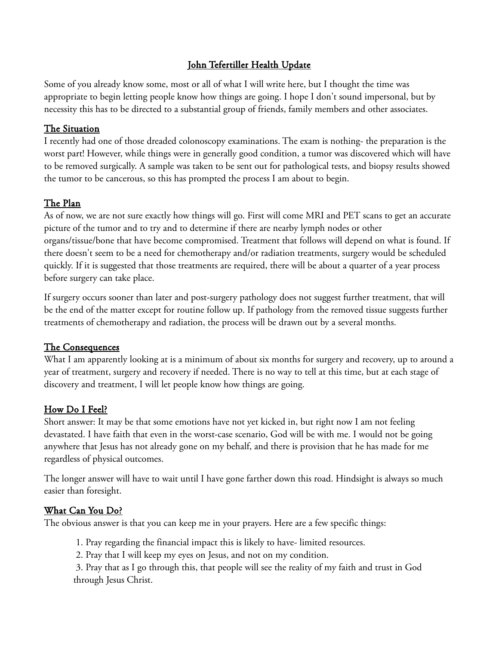#### John Tefertiller Health Update

Some of you already know some, most or all of what I will write here, but I thought the time was appropriate to begin letting people know how things are going. I hope I don't sound impersonal, but by necessity this has to be directed to a substantial group of friends, family members and other associates.

#### The Situation

I recently had one of those dreaded colonoscopy examinations. The exam is nothing- the preparation is the worst part! However, while things were in generally good condition, a tumor was discovered which will have to be removed surgically. A sample was taken to be sent out for pathological tests, and biopsy results showed the tumor to be cancerous, so this has prompted the process I am about to begin.

# The Plan

As of now, we are not sure exactly how things will go. First will come MRI and PET scans to get an accurate picture of the tumor and to try and to determine if there are nearby lymph nodes or other organs/tissue/bone that have become compromised. Treatment that follows will depend on what is found. If there doesn't seem to be a need for chemotherapy and/or radiation treatments, surgery would be scheduled quickly. If it is suggested that those treatments are required, there will be about a quarter of a year process before surgery can take place.

If surgery occurs sooner than later and post-surgery pathology does not suggest further treatment, that will be the end of the matter except for routine follow up. If pathology from the removed tissue suggests further treatments of chemotherapy and radiation, the process will be drawn out by a several months.

## The Consequences

What I am apparently looking at is a minimum of about six months for surgery and recovery, up to around a year of treatment, surgery and recovery if needed. There is no way to tell at this time, but at each stage of discovery and treatment, I will let people know how things are going.

## How Do I Feel?

Short answer: It may be that some emotions have not yet kicked in, but right now I am not feeling devastated. I have faith that even in the worst-case scenario, God will be with me. I would not be going anywhere that Jesus has not already gone on my behalf, and there is provision that he has made for me regardless of physical outcomes.

The longer answer will have to wait until I have gone farther down this road. Hindsight is always so much easier than foresight.

## What Can You Do?

The obvious answer is that you can keep me in your prayers. Here are a few specific things:

1. Pray regarding the financial impact this is likely to have- limited resources.

2. Pray that I will keep my eyes on Jesus, and not on my condition.

3. Pray that as I go through this, that people will see the reality of my faith and trust in God through Jesus Christ.